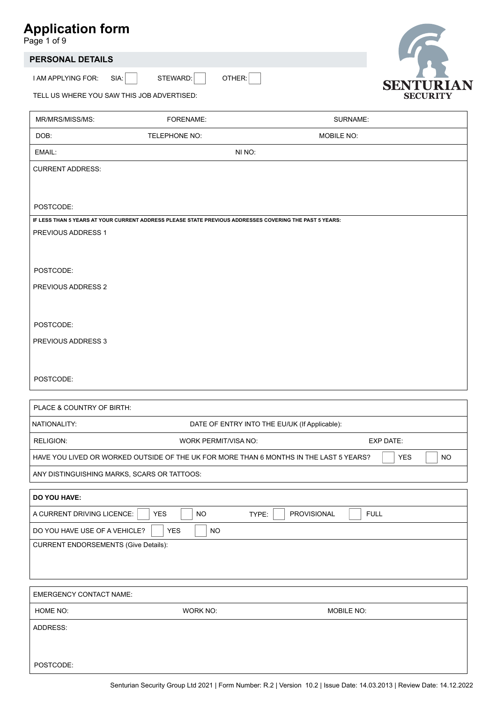Page 1 of 9

# **PERSONAL DETAILS**

I AM APPLYING FOR:

SIA: STEWARD: OTHER:



TELL US WHERE YOU SAW THIS JOB ADVERTISED:

| MR/MRS/MISS/MS:                                                                                         | FORENAME:            | SURNAME:                                                                               |                         |
|---------------------------------------------------------------------------------------------------------|----------------------|----------------------------------------------------------------------------------------|-------------------------|
| DOB:                                                                                                    | TELEPHONE NO:        | MOBILE NO:                                                                             |                         |
| EMAIL:                                                                                                  |                      | NI NO:                                                                                 |                         |
| <b>CURRENT ADDRESS:</b>                                                                                 |                      |                                                                                        |                         |
|                                                                                                         |                      |                                                                                        |                         |
| POSTCODE:                                                                                               |                      |                                                                                        |                         |
| IF LESS THAN 5 YEARS AT YOUR CURRENT ADDRESS PLEASE STATE PREVIOUS ADDRESSES COVERING THE PAST 5 YEARS: |                      |                                                                                        |                         |
| PREVIOUS ADDRESS 1                                                                                      |                      |                                                                                        |                         |
|                                                                                                         |                      |                                                                                        |                         |
| POSTCODE:                                                                                               |                      |                                                                                        |                         |
| PREVIOUS ADDRESS 2                                                                                      |                      |                                                                                        |                         |
|                                                                                                         |                      |                                                                                        |                         |
|                                                                                                         |                      |                                                                                        |                         |
| POSTCODE:                                                                                               |                      |                                                                                        |                         |
| PREVIOUS ADDRESS 3                                                                                      |                      |                                                                                        |                         |
|                                                                                                         |                      |                                                                                        |                         |
| POSTCODE:                                                                                               |                      |                                                                                        |                         |
|                                                                                                         |                      |                                                                                        |                         |
| PLACE & COUNTRY OF BIRTH:                                                                               |                      |                                                                                        |                         |
| NATIONALITY:                                                                                            |                      | DATE OF ENTRY INTO THE EU/UK (If Applicable):                                          |                         |
| RELIGION:                                                                                               | WORK PERMIT/VISA NO: |                                                                                        | <b>EXP DATE:</b>        |
|                                                                                                         |                      | HAVE YOU LIVED OR WORKED OUTSIDE OF THE UK FOR MORE THAN 6 MONTHS IN THE LAST 5 YEARS? | <b>NO</b><br><b>YES</b> |
| ANY DISTINGUISHING MARKS, SCARS OR TATTOOS:                                                             |                      |                                                                                        |                         |
| DO YOU HAVE:                                                                                            |                      |                                                                                        |                         |
| A CURRENT DRIVING LICENCE:                                                                              | YES<br>NO            | TYPE:<br>PROVISIONAL<br><b>FULL</b>                                                    |                         |
| DO YOU HAVE USE OF A VEHICLE?                                                                           | YES<br>$NO$          |                                                                                        |                         |
| <b>CURRENT ENDORSEMENTS (Give Details):</b>                                                             |                      |                                                                                        |                         |
|                                                                                                         |                      |                                                                                        |                         |
|                                                                                                         |                      |                                                                                        |                         |
| <b>EMERGENCY CONTACT NAME:</b>                                                                          |                      |                                                                                        |                         |
| HOME NO:                                                                                                | WORK NO:             | MOBILE NO:                                                                             |                         |
| ADDRESS:                                                                                                |                      |                                                                                        |                         |
|                                                                                                         |                      |                                                                                        |                         |
| POSTCODE:                                                                                               |                      |                                                                                        |                         |
|                                                                                                         |                      |                                                                                        |                         |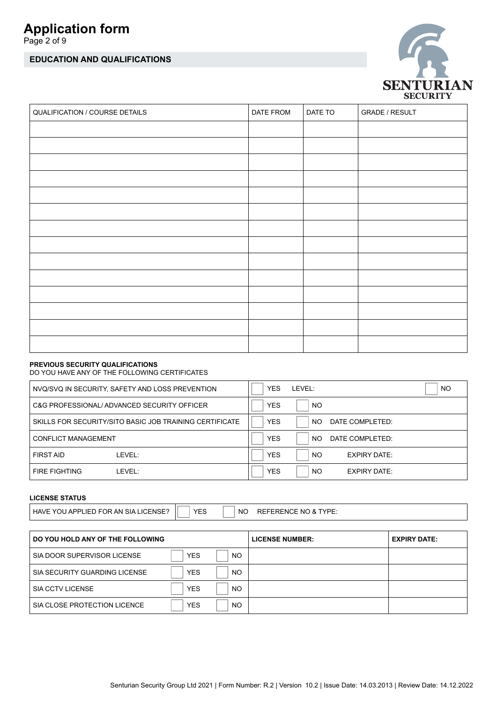Page 2 of 9

# **EDUCATION AND QUALIFICATIONS**



| QUALIFICATION / COURSE DETAILS | DATE FROM | DATE TO | <b>GRADE / RESULT</b> |
|--------------------------------|-----------|---------|-----------------------|
|                                |           |         |                       |
|                                |           |         |                       |
|                                |           |         |                       |
|                                |           |         |                       |
|                                |           |         |                       |
|                                |           |         |                       |
|                                |           |         |                       |
|                                |           |         |                       |
|                                |           |         |                       |
|                                |           |         |                       |
|                                |           |         |                       |
|                                |           |         |                       |
|                                |           |         |                       |
|                                |           |         |                       |

### **PREVIOUS SECURITY QUALIFICATIONS**

DO YOU HAVE ANY OF THE FOLLOWING CERTIFICATES

|                            | NVQ/SVQ IN SECURITY, SAFETY AND LOSS PREVENTION         | <b>YES</b> | I FVFI ·  |                     | NO. |
|----------------------------|---------------------------------------------------------|------------|-----------|---------------------|-----|
|                            | C&G PROFESSIONAL/ADVANCED SECURITY OFFICER              | <b>YES</b> | NO.       |                     |     |
|                            | SKILLS FOR SECURITY/SITO BASIC JOB TRAINING CERTIFICATE | <b>YES</b> | NO.       | DATE COMPLETED:     |     |
| <b>CONFLICT MANAGEMENT</b> |                                                         | <b>YES</b> | NO.       | DATE COMPLETED:     |     |
| <b>FIRST AID</b>           | I FVFI ·                                                | <b>YES</b> | <b>NO</b> | <b>EXPIRY DATE:</b> |     |
| <b>FIRE FIGHTING</b>       | I FVFI ·                                                | <b>YES</b> | NO.       | <b>EXPIRY DATE:</b> |     |

## **LICENSE STATUS**

HAVE YOU APPLIED FOR AN SIA LICENSE? YES | NO REFERENCE NO & TYPE:

| DO YOU HOLD ANY OF THE FOLLOWING |            |           | <b>LICENSE NUMBER:</b> | <b>EXPIRY DATE:</b> |
|----------------------------------|------------|-----------|------------------------|---------------------|
| SIA DOOR SUPERVISOR LICENSE      | <b>YES</b> | <b>NO</b> |                        |                     |
| SIA SECURITY GUARDING LICENSE    | <b>YES</b> | <b>NO</b> |                        |                     |
| SIA CCTV LICENSE                 | <b>YES</b> | <b>NO</b> |                        |                     |
| SIA CLOSE PROTECTION LICENCE     | <b>YES</b> | <b>NO</b> |                        |                     |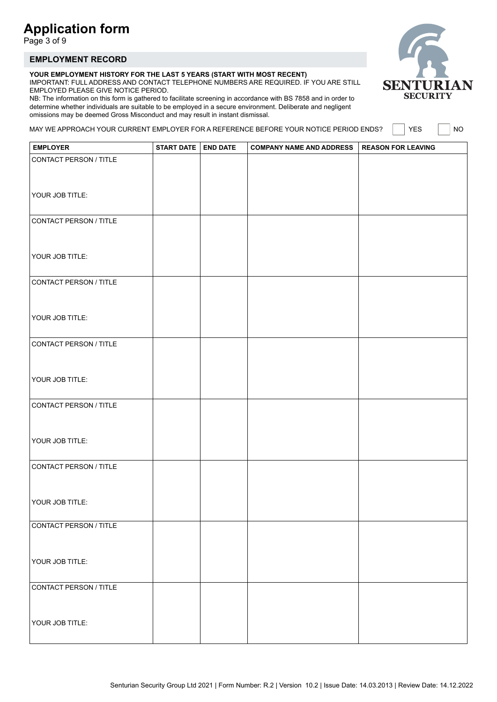Page 3 of 9

## **EMPLOYMENT RECORD**

#### **YOUR EMPLOYMENT HISTORY FOR THE LAST 5 YEARS (START WITH MOST RECENT)**

IMPORTANT: FULL ADDRESS AND CONTACT TELEPHONE NUMBERS ARE REQUIRED. IF YOU ARE STILL EMPLOYED PLEASE GIVE NOTICE PERIOD.

NB: The information on this form is gathered to facilitate screening in accordance with BS 7858 and in order to determine whether individuals are suitable to be employed in a secure environment. Deliberate and negligent omissions may be deemed Gross Misconduct and may result in instant dismissal.

MAY WE APPROACH YOUR CURRENT EMPLOYER FOR A REFERENCE BEFORE YOUR NOTICE PERIOD ENDS?  $\Box$  YES  $\Box$  NO

| <b>EMPLOYER</b>        | START DATE   END DATE | COMPANY NAME AND ADDRESS   REASON FOR LEAVING |  |
|------------------------|-----------------------|-----------------------------------------------|--|
| CONTACT PERSON / TITLE |                       |                                               |  |
|                        |                       |                                               |  |
|                        |                       |                                               |  |
| YOUR JOB TITLE:        |                       |                                               |  |
| CONTACT PERSON / TITLE |                       |                                               |  |
|                        |                       |                                               |  |
|                        |                       |                                               |  |
| YOUR JOB TITLE:        |                       |                                               |  |
| CONTACT PERSON / TITLE |                       |                                               |  |
|                        |                       |                                               |  |
|                        |                       |                                               |  |
| YOUR JOB TITLE:        |                       |                                               |  |
|                        |                       |                                               |  |
| CONTACT PERSON / TITLE |                       |                                               |  |
|                        |                       |                                               |  |
| YOUR JOB TITLE:        |                       |                                               |  |
|                        |                       |                                               |  |
| CONTACT PERSON / TITLE |                       |                                               |  |
|                        |                       |                                               |  |
| YOUR JOB TITLE:        |                       |                                               |  |
|                        |                       |                                               |  |
| CONTACT PERSON / TITLE |                       |                                               |  |
|                        |                       |                                               |  |
| YOUR JOB TITLE:        |                       |                                               |  |
|                        |                       |                                               |  |
| CONTACT PERSON / TITLE |                       |                                               |  |
|                        |                       |                                               |  |
| YOUR JOB TITLE:        |                       |                                               |  |
|                        |                       |                                               |  |
| CONTACT PERSON / TITLE |                       |                                               |  |
|                        |                       |                                               |  |
| YOUR JOB TITLE:        |                       |                                               |  |
|                        |                       |                                               |  |

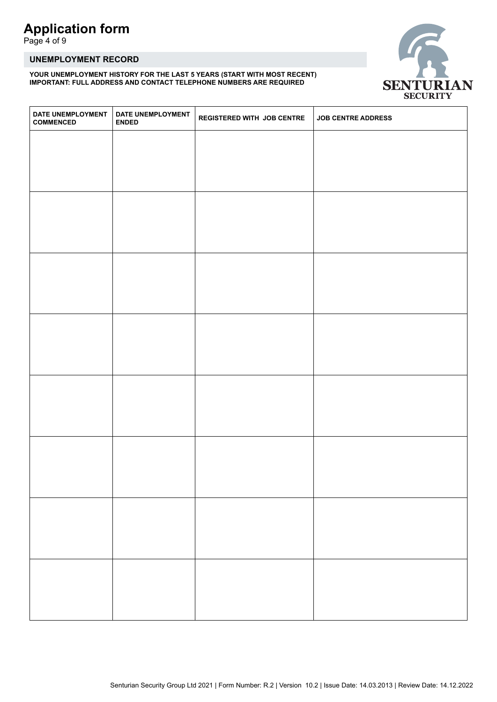Page 4 of 9

## **UNEMPLOYMENT RECORD**

**YOUR UNEMPLOYMENT HISTORY FOR THE LAST 5 YEARS (START WITH MOST RECENT) IMPORTANT: FULL ADDRESS AND CONTACT TELEPHONE NUMBERS ARE REQUIRED**



| DATE UNEMPLOYMENT<br><b>COMMENCED</b> | DATE UNEMPLOYMENT<br><b>ENDED</b> | <b>REGISTERED WITH JOB CENTRE</b> | <b>JOB CENTRE ADDRESS</b> |
|---------------------------------------|-----------------------------------|-----------------------------------|---------------------------|
|                                       |                                   |                                   |                           |
|                                       |                                   |                                   |                           |
|                                       |                                   |                                   |                           |
|                                       |                                   |                                   |                           |
|                                       |                                   |                                   |                           |
|                                       |                                   |                                   |                           |
|                                       |                                   |                                   |                           |
|                                       |                                   |                                   |                           |
|                                       |                                   |                                   |                           |
|                                       |                                   |                                   |                           |
|                                       |                                   |                                   |                           |
|                                       |                                   |                                   |                           |
|                                       |                                   |                                   |                           |
|                                       |                                   |                                   |                           |
|                                       |                                   |                                   |                           |
|                                       |                                   |                                   |                           |
|                                       |                                   |                                   |                           |
|                                       |                                   |                                   |                           |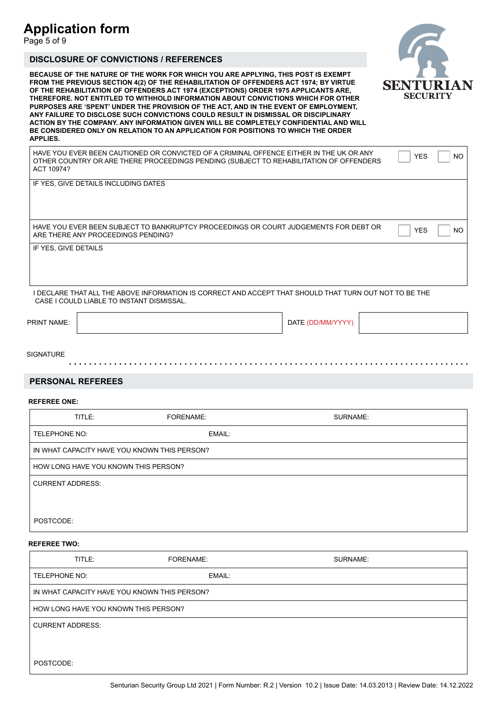Page 5 of 9

## **DISCLOSURE OF CONVICTIONS / REFERENCES**

**BECAUSE OF THE NATURE OF THE WORK FOR WHICH YOU ARE APPLYING, THIS POST IS EXEMPT FROM THE PREVIOUS SECTION 4(2) OF THE REHABILITATION OF OFFENDERS ACT 1974; BY VIRTUE OF THE REHABILITATION OF OFFENDERS ACT 1974 (EXCEPTIONS) ORDER 1975 APPLICANTS ARE, THEREFORE. NOT ENTITLED TO WITHHOLD INFORMATION ABOUT CONVICTIONS WHICH FOR OTHER PURPOSES ARE 'SPENT' UNDER THE PROVISION OF THE ACT, AND IN THE EVENT OF EMPLOYMENT, ANY FAILURE TO DISCLOSE SUCH CONVICTIONS COULD RESULT IN DISMISSAL OR DISCIPLINARY ACTION BY THE COMPANY. ANY INFORMATION GIVEN WILL BE COMPLETELY CONFIDENTIAL AND WILL BE CONSIDERED ONLY ON RELATION TO AN APPLICATION FOR POSITIONS TO WHICH THE ORDER APPLIES.**

HAVE YOU EVER BEEN CAUTIONED OR CONVICTED OF A CRIMINAL OFFENCE EITHER IN THE UK OR ANY  $\bigcap_{Y \in S} \bigcap_{N \in S} N$ OTHER COUNTRY OR ARE THERE PROCEEDINGS PENDING (SUBJECT TO REHABILITATION OF OFFENDERS ACT 10974?

IF YES, GIVE DETAILS INCLUDING DATES

HAVE YOU EVER BEEN SUBJECT TO BANKRUPTCY PROCEEDINGS OR COURT JUDGEMENTS FOR DEBT OR  $\Box$  YES  $\Box$  NO ARE THERE ANY PROCEEDINGS PENDING?

IF YES, GIVE DETAILS

I DECLARE THAT ALL THE ABOVE INFORMATION IS CORRECT AND ACCEPT THAT SHOULD THAT TURN OUT NOT TO BE THE CASE I COULD LIABLE TO INSTANT DISMISSAL.

PRINT NAME:

DATE (DD/MM/YYYY)

SIGNATURE

### **PERSONAL REFEREES**

#### **REFEREE ONE:**

| TITLE:                                       | <b>FORENAME:</b> | SURNAME: |
|----------------------------------------------|------------------|----------|
| TELEPHONE NO:                                | EMAIL:           |          |
| IN WHAT CAPACITY HAVE YOU KNOWN THIS PERSON? |                  |          |
| HOW LONG HAVE YOU KNOWN THIS PERSON?         |                  |          |
| <b>CURRENT ADDRESS:</b>                      |                  |          |
|                                              |                  |          |
| POSTCODE:                                    |                  |          |

### **REFEREE TWO:**

| TITLE:                                       | FORENAME: | SURNAME: |
|----------------------------------------------|-----------|----------|
| TELEPHONE NO:                                | EMAIL:    |          |
| IN WHAT CAPACITY HAVE YOU KNOWN THIS PERSON? |           |          |
| HOW LONG HAVE YOU KNOWN THIS PERSON?         |           |          |
| <b>CURRENT ADDRESS:</b>                      |           |          |
|                                              |           |          |
| POSTCODE:                                    |           |          |

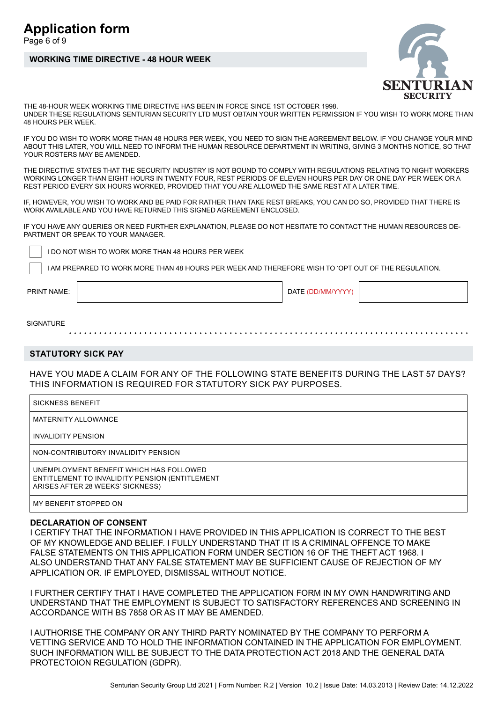## Page 6 of 9

# **WORKING TIME DIRECTIVE - 48 HOUR WEEK**



THE 48-HOUR WEEK WORKING TIME DIRECTIVE HAS BEEN IN FORCE SINCE 1ST OCTOBER 1998. UNDER THESE REGULATIONS SENTURIAN SECURITY LTD MUST OBTAIN YOUR WRITTEN PERMISSION IF YOU WISH TO WORK MORE THAN 48 HOURS PER WEEK.

IF YOU DO WISH TO WORK MORE THAN 48 HOURS PER WEEK, YOU NEED TO SIGN THE AGREEMENT BELOW. IF YOU CHANGE YOUR MIND ABOUT THIS LATER, YOU WILL NEED TO INFORM THE HUMAN RESOURCE DEPARTMENT IN WRITING, GIVING 3 MONTHS NOTICE, SO THAT YOUR ROSTERS MAY BE AMENDED.

THE DIRECTIVE STATES THAT THE SECURITY INDUSTRY IS NOT BOUND TO COMPLY WITH REGULATIONS RELATING TO NIGHT WORKERS WORKING LONGER THAN EIGHT HOURS IN TWENTY FOUR, REST PERIODS OF ELEVEN HOURS PER DAY OR ONE DAY PER WEEK OR A REST PERIOD EVERY SIX HOURS WORKED, PROVIDED THAT YOU ARE ALLOWED THE SAME REST AT A LATER TIME.

IF, HOWEVER, YOU WISH TO WORK AND BE PAID FOR RATHER THAN TAKE REST BREAKS, YOU CAN DO SO, PROVIDED THAT THERE IS WORK AVAILABLE AND YOU HAVE RETURNED THIS SIGNED AGREEMENT ENCLOSED.

IF YOU HAVE ANY QUERIES OR NEED FURTHER EXPLANATION, PLEASE DO NOT HESITATE TO CONTACT THE HUMAN RESOURCES DE-PARTMENT OR SPEAK TO YOUR MANAGER.

I DO NOT WISH TO WORK MORE THAN 48 HOURS PER WEEK

I AM PREPARED TO WORK MORE THAN 48 HOURS PER WEEK AND THEREFORE WISH TO 'OPT OUT OF THE REGULATION.

PRINT NAME:

DATE (DD/MM/YYYY)

**SIGNATURE** 

## **STATUTORY SICK PAY**

HAVE YOU MADE A CLAIM FOR ANY OF THE FOLLOWING STATE BENEFITS DURING THE LAST 57 DAYS? THIS INFORMATION IS REQUIRED FOR STATUTORY SICK PAY PURPOSES.

| <b>SICKNESS BENEFIT</b>                                                                                                       |  |
|-------------------------------------------------------------------------------------------------------------------------------|--|
| <b>MATERNITY ALLOWANCE</b>                                                                                                    |  |
| INVALIDITY PENSION                                                                                                            |  |
| NON-CONTRIBUTORY INVALIDITY PENSION                                                                                           |  |
| UNEMPLOYMENT BENEFIT WHICH HAS FOLLOWED<br>ENTITLEMENT TO INVALIDITY PENSION (ENTITLEMENT<br>ARISES AFTER 28 WEEKS' SICKNESS) |  |
| MY BENEFIT STOPPED ON                                                                                                         |  |

## **DECLARATION OF CONSENT**

I CERTIFY THAT THE INFORMATION I HAVE PROVIDED IN THIS APPLICATION IS CORRECT TO THE BEST OF MY KNOWLEDGE AND BELIEF. I FULLY UNDERSTAND THAT IT IS A CRIMINAL OFFENCE TO MAKE FALSE STATEMENTS ON THIS APPLICATION FORM UNDER SECTION 16 OF THE THEFT ACT 1968. I ALSO UNDERSTAND THAT ANY FALSE STATEMENT MAY BE SUFFICIENT CAUSE OF REJECTION OF MY APPLICATION OR. IF EMPLOYED, DISMISSAL WITHOUT NOTICE.

I FURTHER CERTIFY THAT I HAVE COMPLETED THE APPLICATION FORM IN MY OWN HANDWRITING AND UNDERSTAND THAT THE EMPLOYMENT IS SUBJECT TO SATISFACTORY REFERENCES AND SCREENING IN ACCORDANCE WITH BS 7858 OR AS IT MAY BE AMENDED.

I AUTHORISE THE COMPANY OR ANY THIRD PARTY NOMINATED BY THE COMPANY TO PERFORM A VETTING SERVICE AND TO HOLD THE INFORMATION CONTAINED IN THE APPLICATION FOR EMPLOYMENT. SUCH INFORMATION WILL BE SUBJECT TO THE DATA PROTECTION ACT 2018 AND THE GENERAL DATA PROTECTOION REGULATION (GDPR).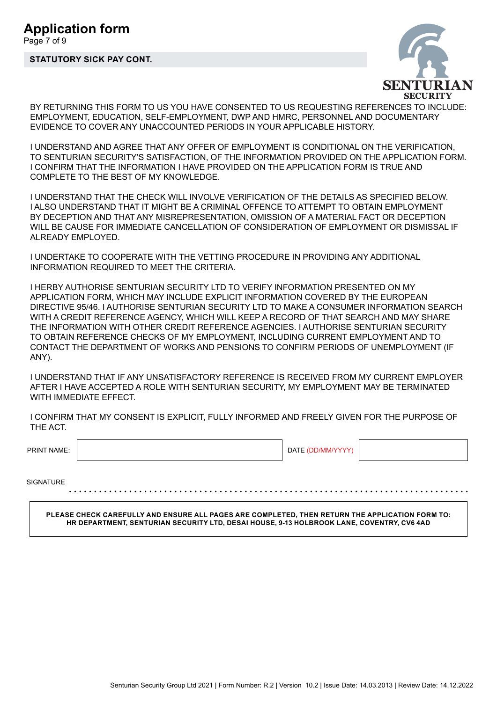# **STATUTORY SICK PAY CONT.**



BY RETURNING THIS FORM TO US YOU HAVE CONSENTED TO US REQUESTING REFERENCES TO INCLUDE: EMPLOYMENT, EDUCATION, SELF-EMPLOYMENT, DWP AND HMRC, PERSONNEL AND DOCUMENTARY EVIDENCE TO COVER ANY UNACCOUNTED PERIODS IN YOUR APPLICABLE HISTORY.

I UNDERSTAND AND AGREE THAT ANY OFFER OF EMPLOYMENT IS CONDITIONAL ON THE VERIFICATION, TO SENTURIAN SECURITY'S SATISFACTION, OF THE INFORMATION PROVIDED ON THE APPLICATION FORM. I CONFIRM THAT THE INFORMATION I HAVE PROVIDED ON THE APPLICATION FORM IS TRUE AND COMPLETE TO THE BEST OF MY KNOWLEDGE.

I UNDERSTAND THAT THE CHECK WILL INVOLVE VERIFICATION OF THE DETAILS AS SPECIFIED BELOW. I ALSO UNDERSTAND THAT IT MIGHT BE A CRIMINAL OFFENCE TO ATTEMPT TO OBTAIN EMPLOYMENT BY DECEPTION AND THAT ANY MISREPRESENTATION, OMISSION OF A MATERIAL FACT OR DECEPTION WILL BE CAUSE FOR IMMEDIATE CANCELLATION OF CONSIDERATION OF EMPLOYMENT OR DISMISSAL IF ALREADY EMPLOYED.

I UNDERTAKE TO COOPERATE WITH THE VETTING PROCEDURE IN PROVIDING ANY ADDITIONAL INFORMATION REQUIRED TO MEET THE CRITERIA.

I HERBY AUTHORISE SENTURIAN SECURITY LTD TO VERIFY INFORMATION PRESENTED ON MY APPLICATION FORM, WHICH MAY INCLUDE EXPLICIT INFORMATION COVERED BY THE EUROPEAN DIRECTIVE 95/46. I AUTHORISE SENTURIAN SECURITY LTD TO MAKE A CONSUMER INFORMATION SEARCH WITH A CREDIT REFERENCE AGENCY, WHICH WILL KEEP A RECORD OF THAT SEARCH AND MAY SHARE THE INFORMATION WITH OTHER CREDIT REFERENCE AGENCIES. I AUTHORISE SENTURIAN SECURITY TO OBTAIN REFERENCE CHECKS OF MY EMPLOYMENT, INCLUDING CURRENT EMPLOYMENT AND TO CONTACT THE DEPARTMENT OF WORKS AND PENSIONS TO CONFIRM PERIODS OF UNEMPLOYMENT (IF ANY).

I UNDERSTAND THAT IF ANY UNSATISFACTORY REFERENCE IS RECEIVED FROM MY CURRENT EMPLOYER AFTER I HAVE ACCEPTED A ROLE WITH SENTURIAN SECURITY, MY EMPLOYMENT MAY BE TERMINATED WITH IMMEDIATE EFFECT.

I CONFIRM THAT MY CONSENT IS EXPLICIT, FULLY INFORMED AND FREELY GIVEN FOR THE PURPOSE OF THE ACT.

PRINT NAME:

DATE (DD/MM/YYYY)

**SIGNATURE** 

**PLEASE CHECK CAREFULLY AND ENSURE ALL PAGES ARE COMPLETED, THEN RETURN THE APPLICATION FORM TO: HR DEPARTMENT, SENTURIAN SECURITY LTD, DESAI HOUSE, 9-13 HOLBROOK LANE, COVENTRY, CV6 4AD**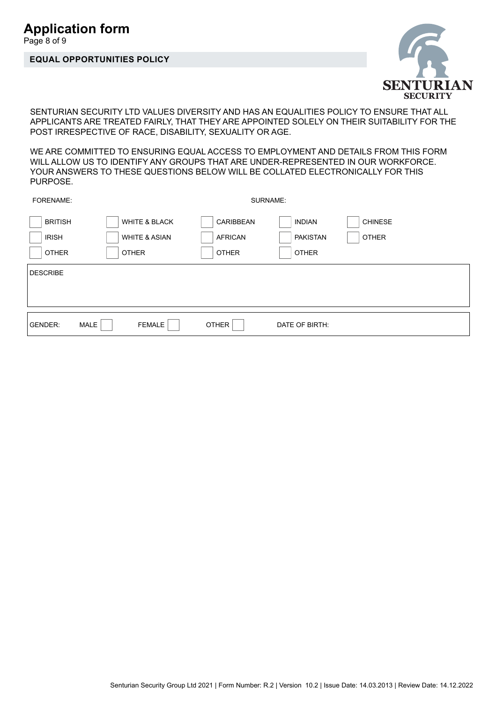# Page 8 of 9

# **EQUAL OPPORTUNITIES POLICY**



SENTURIAN SECURITY LTD VALUES DIVERSITY AND HAS AN EQUALITIES POLICY TO ENSURE THAT ALL APPLICANTS ARE TREATED FAIRLY, THAT THEY ARE APPOINTED SOLELY ON THEIR SUITABILITY FOR THE POST IRRESPECTIVE OF RACE, DISABILITY, SEXUALITY OR AGE.

WE ARE COMMITTED TO ENSURING EQUAL ACCESS TO EMPLOYMENT AND DETAILS FROM THIS FORM WILL ALLOW US TO IDENTIFY ANY GROUPS THAT ARE UNDER-REPRESENTED IN OUR WORKFORCE. YOUR ANSWERS TO THESE QUESTIONS BELOW WILL BE COLLATED ELECTRONICALLY FOR THIS PURPOSE.

| FORENAME:                                                  |                                                                      |                                                    | SURNAME:                                                                           |  |
|------------------------------------------------------------|----------------------------------------------------------------------|----------------------------------------------------|------------------------------------------------------------------------------------|--|
| <b>BRITISH</b><br><b>IRISH</b><br><b>OTHER</b><br>DESCRIBE | <b>WHITE &amp; BLACK</b><br><b>WHITE &amp; ASIAN</b><br><b>OTHER</b> | <b>CARIBBEAN</b><br><b>AFRICAN</b><br><b>OTHER</b> | <b>CHINESE</b><br><b>INDIAN</b><br><b>PAKISTAN</b><br><b>OTHER</b><br><b>OTHER</b> |  |
| GENDER:                                                    | MALE<br><b>FEMALE</b>                                                | <b>OTHER</b>                                       | DATE OF BIRTH:                                                                     |  |